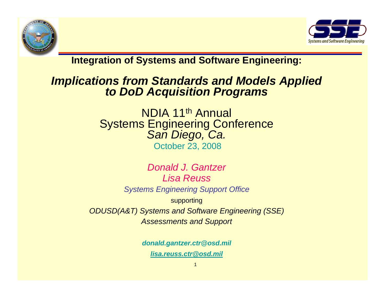



**Integration of Systems and Software Engineering:**

# *Implications from Standards and Models Applied to DoD Acquisition Programs*

NDIA 11th Annual Systems Engineering Conference *San Diego, Ca.* October 23, 2008

*Donald J. Gantzer Lisa ReussSystems Engineering Support Office*  supporting *ODUSD(A&T) Systems and Software Engineering (SSE) Assessments and Support*

> *donald.gantzer.ctr@osd.mil [lisa.reuss.ctr@osd.mil](mailto:lisa.reuss.ctr@osd.mil)*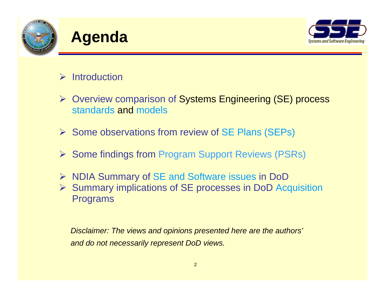

## **Agenda**



### $\triangleright$  Introduction

- ¾ Overview comparison of Systems Engineering (SE) process standards and models
- ¾ Some observations from review of SE Plans (SEPs)
- ¾ Some findings from Program Support Reviews (PSRs)
- ¾ NDIA Summary of SE and Software issues in DoD
- ¾ Summary implications of SE processes in DoD Acquisition Programs

*Disclaimer: The views and opinions presented here are the authors' and do not necessarily represent DoD views.*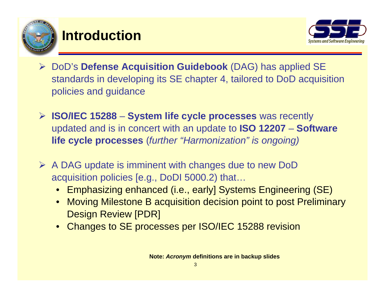

### **Introduction**



- ¾ DoD's **Defense Acquisition Guidebook** (DAG) has applied SE standards in developing its SE chapter 4, tailored to DoD acquisition policies and guidance
- ¾ **ISO/IEC 15288 System life cycle processes** was recently updated and is in concert with an update to **ISO 12207** – **Software life cycle processes** (*further "Harmonization" is ongoing)*
- ¾ A DAG update is imminent with changes due to new DoD acquisition policies [e.g., DoDI 5000.2) that…
	- Emphasizing enhanced (i.e., early] Systems Engineering (SE)
	- $\bullet$  Moving Milestone B acquisition decision point to post Preliminary Design Review [PDR]
	- •Changes to SE processes per ISO/IEC 15288 revision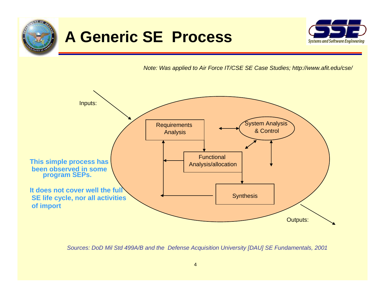

## **A Generic SE Process**



*Note: Was applied to Air Force IT/CSE SE Case Studies; http://www.afit.edu/cse/*



*Sources: DoD Mil Std 499A/B and the Defense Acquisition University [DAU] SE Fundamentals, 2001*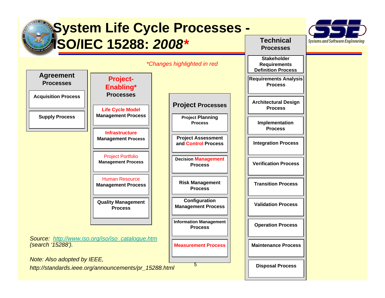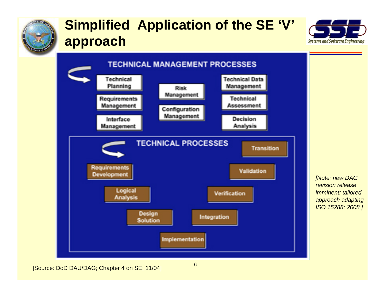

## **Simplified Application of the SE 'V' approach**





*[Note: new DAG revision release imminent; tailored approach adapting ISO 15288: 2008 ]*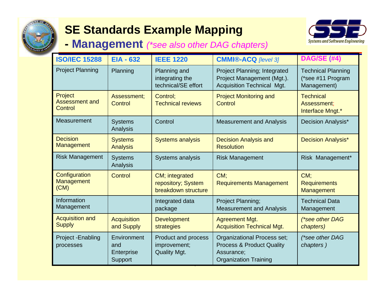

### **SE Standards Example Mapping**

**Management** *(\*see also other DAG chapters)*



| <b>ISO/IEC 15288</b>                        | <b>EIA - 632</b>                            | <b>IEEE 1220</b>                                                  | <b>CMMI®-ACQ</b> [level 3]                                                                                               | <b>DAG/SE (#4)</b>                                            |
|---------------------------------------------|---------------------------------------------|-------------------------------------------------------------------|--------------------------------------------------------------------------------------------------------------------------|---------------------------------------------------------------|
| <b>Project Planning</b>                     | Planning                                    | Planning and<br>integrating the<br>technical/SE effort            | Project Planning; Integrated<br>Project Management (Mgt.).<br><b>Acquisition Technical Mgt.</b>                          | <b>Technical Planning</b><br>(*see #11 Program<br>Management) |
| Project<br><b>Assessment and</b><br>Control | Assessment;<br>Control                      | Control;<br><b>Technical reviews</b>                              | <b>Project Monitoring and</b><br><b>Control</b>                                                                          | <b>Technical</b><br>Assessment;<br>Interface Mngt.*           |
| Measurement                                 | <b>Systems</b><br>Analysis                  | Control                                                           | <b>Measurement and Analysis</b>                                                                                          | Decision Analysis*                                            |
| <b>Decision</b><br><b>Management</b>        | <b>Systems</b><br><b>Analysis</b>           | <b>Systems analysis</b>                                           | <b>Decision Analysis and</b><br><b>Resolution</b>                                                                        | <b>Decision Analysis*</b>                                     |
| <b>Risk Management</b>                      | <b>Systems</b><br>Analysis                  | Systems analysis                                                  | <b>Risk Management</b>                                                                                                   | Risk Management*                                              |
| Configuration<br><b>Management</b><br>(CM)  | Control                                     | CM; integrated<br>repository; System<br>breakdown structure       | CM:<br><b>Requirements Management</b>                                                                                    | CM:<br><b>Requirements</b><br>Management                      |
| Information<br>Management                   |                                             | Integrated data<br>package                                        | Project Planning;<br><b>Measurement and Analysis</b>                                                                     | <b>Technical Data</b><br>Management                           |
| <b>Acquisition and</b><br><b>Supply</b>     | <b>Acquisition</b><br>and Supply            | <b>Development</b><br>strategies                                  | <b>Agreement Mgt.</b><br><b>Acquisition Technical Mgt.</b>                                                               | (*see other DAG<br>chapters)                                  |
| Project - Enabling<br>processes             | Environment<br>and<br>Enterprise<br>Support | <b>Product and process</b><br>improvement;<br><b>Quality Mgt.</b> | <b>Organizational Process set;</b><br><b>Process &amp; Product Quality</b><br>Assurance;<br><b>Organization Training</b> | (*see other DAG<br>chapters)                                  |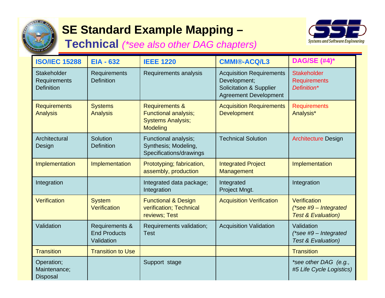

## **SE Standard Example Mapping –**

**Technical** *(\*see also other DAG chapters)*



| <b>ISO/IEC 15288</b>                                    | <b>EIA - 632</b>                                    | <b>IEEE 1220</b>                                                                                        | <b>CMMI®-ACQ/L3</b>                                                                                                   | <b>DAG/SE (#4)*</b>                                                       |
|---------------------------------------------------------|-----------------------------------------------------|---------------------------------------------------------------------------------------------------------|-----------------------------------------------------------------------------------------------------------------------|---------------------------------------------------------------------------|
| <b>Stakeholder</b><br>Requirements<br><b>Definition</b> | <b>Requirements</b><br><b>Definition</b>            | Requirements analysis                                                                                   | <b>Acquisition Requirements</b><br>Development;<br><b>Solicitation &amp; Supplier</b><br><b>Agreement Development</b> | <b>Stakeholder</b><br><b>Requirements</b><br>Definition*                  |
| <b>Requirements</b><br><b>Analysis</b>                  | <b>Systems</b><br><b>Analysis</b>                   | <b>Requirements &amp;</b><br><b>Functional analysis;</b><br><b>Systems Analysis;</b><br><b>Modeling</b> | <b>Acquisition Requirements</b><br><b>Development</b>                                                                 | <b>Requirements</b><br>Analysis*                                          |
| Architectural<br>Design                                 | Solution<br><b>Definition</b>                       | Functional analysis;<br>Synthesis; Modeling,<br>Specifications/drawings                                 | <b>Technical Solution</b>                                                                                             | <b>Architecture Design</b>                                                |
| Implementation                                          | Implementation                                      | Prototyping; fabrication,<br>assembly, production                                                       | <b>Integrated Project</b><br>Management                                                                               | Implementation                                                            |
| Integration                                             |                                                     | Integrated data package;<br>Integration                                                                 | Integrated<br>Project Mngt.                                                                                           | Integration                                                               |
| Verification                                            | <b>System</b><br>Verification                       | <b>Functional &amp; Design</b><br>verification; Technical<br>reviews; Test                              | <b>Acquisition Verification</b>                                                                                       | Verification<br>$(*see #9 - Integrated)$<br><b>Test &amp; Evaluation)</b> |
| Validation                                              | Requirements &<br><b>End Products</b><br>Validation | Requirements validation;<br>Test                                                                        | <b>Acquisition Validation</b>                                                                                         | Validation<br>$(*see #9 - Integrate d)$<br><b>Test &amp; Evaluation)</b>  |
| <b>Transition</b>                                       | <b>Transition to Use</b>                            |                                                                                                         |                                                                                                                       | <b>Transition</b>                                                         |
| Operation;<br>Maintenance;<br><b>Disposal</b>           |                                                     | Support stage                                                                                           |                                                                                                                       | *see other DAG (e.g.,<br>#5 Life Cycle Logistics)                         |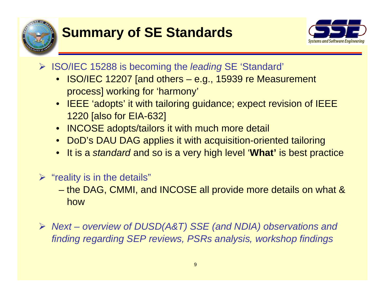



- ¾ ISO/IEC 15288 is becoming the *leading* SE 'Standard'
	- ISO/IEC 12207 [and others e.g., 15939 re Measurement process] working for 'harmony'
	- IEEE 'adopts' it with tailoring guidance; expect revision of IEEE 1220 [also for EIA-632]
	- INCOSE adopts/tailors it with much more detail
	- DoD's DAU DAG applies it with acquisition-oriented tailoring
	- •It is a *standard* and so is a very high level '**What'** is best practice
- $\triangleright$  "reality is in the details"
	- – the DAG, CMMI, and INCOSE all provide more details on what & how
- ¾ *Next – overview of DUSD(A&T) SSE (and NDIA) observations and finding regarding SEP reviews, PSRs analysis, workshop findings*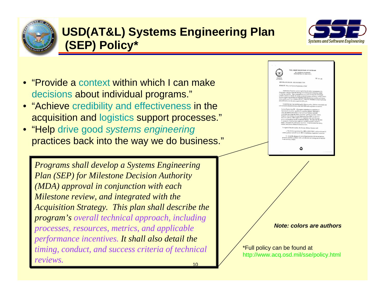

### **USD(AT&L) Systems Engineering Plan (SEP) Policy\***



- "Provide a context within which I can make decisions about individual programs."
- "Achieve credibility and effectiveness in the acquisition and logistics support processes."
- "Help drive good *systems engineering* practices back into the way we do business."

 $1<sub>0</sub>$ *Programs shall develop a Systems Engineering Plan (SEP) for Milestone Decision Authority (MDA) approval in conjunction with each Milestone review, and integrated with the Acquisition Strategy. This plan shall describe the program's overall technical approach, including processes, resources, metrics, and applicable performance incentives. It shall also detail the timing, conduct, and success criteria of technical reviews.*



*Note: colors are authors*

\*Full policy can be found at http://www.acq.osd.mil/sse/policy.html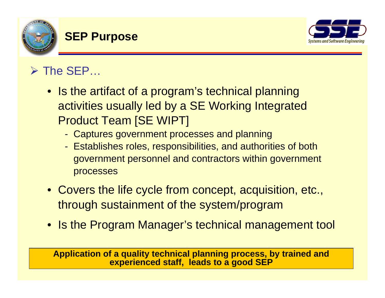

### **SEP Purpose**



## $\triangleright$  The SEP...

- Is the artifact of a program's technical planning activities usually led by a SE Working Integrated Product Team [SE WIPT]
	- Captures government processes and planning
	- Establishes roles, responsibilities, and authorities of both government personnel and contractors within government processes
- Covers the life cycle from concept, acquisition, etc., through sustainment of the system/program
- Is the Program Manager's technical management tool

11**experienced staff, leads to a good SEPApplication of a quality technical planning process, by trained and**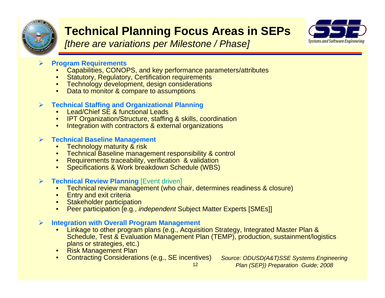

### **Technical Planning Focus Areas in SEPs**

*[there are variations per Milestone / Phase]*



#### ¾**Program Requirements**

- •Capabilities, CONOPS, and key performance parameters/attributes
- •Statutory, Regulatory, Certification requirements
- Technology development, design considerations
- $\bullet$ **Data to monitor & compare to assumptions**

#### ¾**Technical Staffing and Organizational Planning**

- •Lead/Chief SE & functional Leads
- •**IPT Organization/Structure, staffing & skills, coordination**
- •Integration with contractors & external organizations

#### $\blacktriangleright$ **Technical Baseline Management**

- $\bullet$ **Technology maturity & risk**
- •Technical Baseline management responsibility & control
- •Requirements traceability, verification & validation
- •Specifications & Work breakdown Schedule (WBS)

#### $\blacktriangleright$ **Technical Review Planning [Event driven]**

- •Technical review management (who chair, determines readiness & closure)
- $\bullet$ **Entry and exit criteria**
- $\bullet$ **Stakeholder participation**
- •Peer participation [e.g., *independent* Subject Matter Experts [SMEs]]

#### $\blacktriangleright$ **Integration with Overall Program Management**

- • Linkage to other program plans (e.g., Acquisition Strategy, Integrated Master Plan & Schedule, Test & Evaluation Management Plan (TEMP), production, sustainment/logistics plans or strategies, etc.)
- Risk Management Plan
- •Contracting Considerations (e.g., SE incentives) *Source: ODUSD(A&T)SSE Systems Engineering*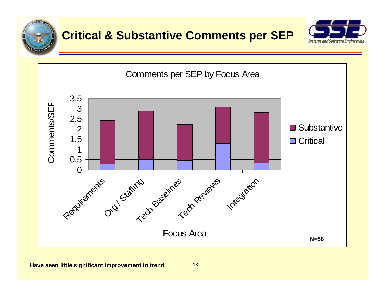



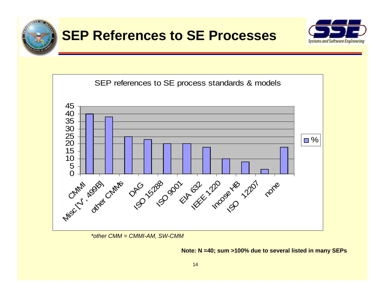





*\*other CMM = CMMI-AM, SW-CMM*

#### **Note: N =40; sum >100% due to several listed in many SEPs**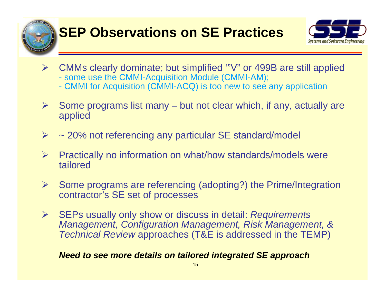



- ¾ CMMs clearly dominate; but simplified '"V" or 499B are still applied - some use the CMMI-Acquisition Module (CMMI-AM);
	- CMMI for Acquisition (CMMI-ACQ) is too new to see any application
- ¾ Some programs list many – but not clear which, if any, actually are applied
- ¾~ 20% not referencing any particular SE standard/model
- ¾ Practically no information on what/how standards/models were tailored
- ¾ Some programs are referencing (adopting?) the Prime/Integration contractor's SE set of processes
- ¾ SEPs usually only show or discuss in detail: *Requirements Management, Configuration Management, Risk Management, & Technical Review* approaches (T&E is addressed in the TEMP)

#### *Need to see more details on tailored integrated SE approach*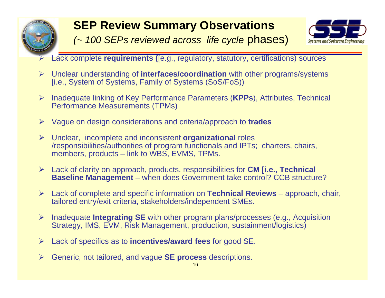

### **SEP Review Summary Observations**



- *(~ 100 SEPs reviewed across life cycle* phases)
- Lack complete **requirements (**[e.g., regulatory, statutory, certifications) sources
- ¾ Unclear understanding of **interfaces/coordination** with other programs/systems [i.e., System of Systems, Family of Systems (SoS/FoS))
- ¾ Inadequate linking of Key Performance Parameters (**KPPs**), Attributes, Technical Performance Measurements (TPMs)
- ¾ Vague on design considerations and criteria/approach to **trades**
- ¾ Unclear, incomplete and inconsistent **organizational** roles /responsibilities/authorities of program functionals and IPTs; charters, chairs, members, products – link to WBS, EVMS, TPMs.
- ¾ Lack of clarity on approach, products, responsibilities for **CM [i.e., Technical Baseline Management** – when does Government take control? CCB structure?
- ¾ Lack of complete and specific information on **Technical Reviews** approach, chair, tailored entry/exit criteria, stakeholders/independent SMEs.
- ¾ Inadequate **Integrating SE** with other program plans/processes (e.g., Acquisition Strategy, IMS, EVM, Risk Management, production, sustainment/logistics)
- ¾Lack of specifics as to **incentives/award fees** for good SE.
- ¾Generic, not tailored, and vague **SE process** descriptions.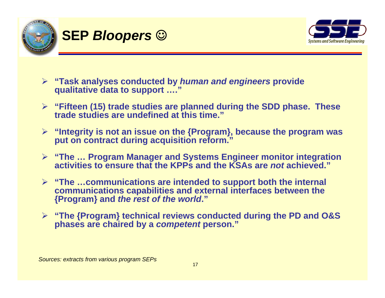

### **SEP** *Bloopers* ☺



- ¾ **"Task analyses conducted by** *human and engineers* **provide qualitative data to support …."**
- ¾ **"Fifteen (15) trade studies are planned during the SDD phase. These trade studies are undefined at this time."**
- ¾ **"Integrity is not an issue on the {Program}, because the program was put on contract during acquisition reform."**
- ¾ **"The … Program Manager and Systems Engineer monitor integration activities to ensure that the KPPs and the KSAs are** *not* **achieved."**
- ¾ **"The …communications are intended to support both the internal communications capabilities and external interfaces between the {Program} and** *the rest of the world***."**
- ¾ **"The {Program} technical reviews conducted during the PD and O&S phases are chaired by a** *competent* **person."**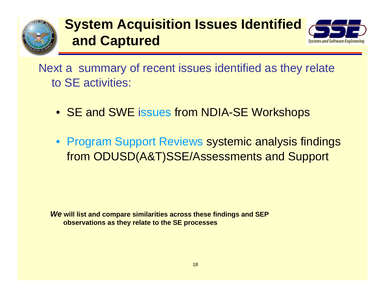

## **System Acquisition Issues Identified and Captured**



Next a summary of recent issues identified as they relate to SE activities:

- SE and SWE issues from NDIA-SE Workshops
- Program Support Reviews systemic analysis findings from ODUSD(A&T)SSE/Assessments and Support

*We* **will list and compare similarities across these findings and SEP observations as they relate to the SE processes**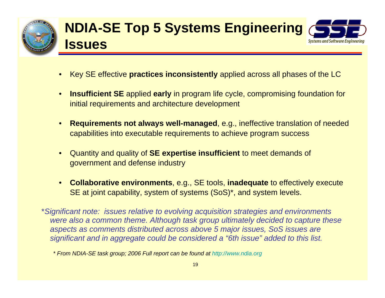

### **NDIA-SE Top 5 Systems Engineering Issues Systems and Software Enaineering**

- •Key SE effective **practices inconsistently** applied across all phases of the LC
- • **Insufficient SE** applied **early** in program life cycle, compromising foundation for initial requirements and architecture development
- • **Requirements not always well-managed**, e.g., ineffective translation of needed capabilities into executable requirements to achieve program success
- • Quantity and quality of **SE expertise insufficient** to meet demands of government and defense industry
- $\bullet$  **Collaborative environments**, e.g., SE tools, **inadequate** to effectively execute SE at joint capability, system of systems (SoS)\*, and system levels.

\**Significant note: issues relative to evolving acquisition strategies and environments were also a common theme. Although task group ultimately decided to capture these aspects as comments distributed across above 5 major issues, SoS issues are significant and in aggregate could be considered a "6th issue" added to this list.*

*<sup>\*</sup> From NDIA-SE task group; 2006 Full report can be found at http://www.ndia.org*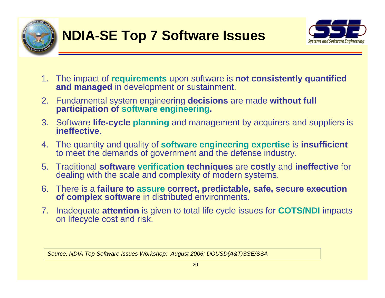



- 1. The impact of **requirements** upon software is **not consistently quantified and managed** in development or sustainment.
- 2. Fundamental system engineering **decisions** are made **without full participation of software engineering.**
- 3. Software **life-cycle planning** and management by acquirers and suppliers is **ineffective**.
- 4. The quantity and quality of **software engineering expertise** is **insufficient** to meet the demands of government and the defense industry.
- 5. Traditional **software verification techniques** are **costly** and **ineffective** for dealing with the scale and complexity of modern systems.
- 6. There is a **failure to assure correct, predictable, safe, secure execution of complex software** in distributed environments.
- 7. Inadequate **attention** is given to total life cycle issues for **COTS/NDI** impacts on lifecycle cost and risk.

*Source: NDIA Top Software Issues Workshop; August 2006; DOUSD(A&T)SSE/SSA*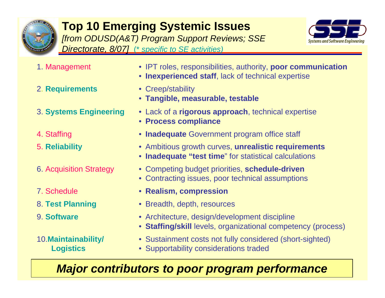

### **Top 10 Emerging Systemic Issues** *[from ODUSD(A&T) Program Support Reviews; SSE*

*Directorate, 8/07]* (\* *specific to SE activities)*



- 
- 2. **Requirements** Creep/stability
- 
- 
- 
- 
- 7. Schedule
- 
- 9. **Software**

10.**Maintainability/ Logistics**

- 1. Management IPT roles, responsibilities, authority, **poor communication**
	- **Inexperienced staff**, lack of technical expertise
	-
	- **Tangible, measurable, testable**
- 3. **Systems Engineering** Lack of a **rigorous approach**, technical expertise
	- **Process compliance**
- 4. Staffing **Inadequate** Government program office staff
- 5. **Reliability** Ambitious growth curves, **unrealistic requirements**
	- **Inadequate "test time**" for statistical calculations
- 6. Acquisition Strategy Competing budget priorities, **schedule-driven**
	- Contracting issues, poor technical assumptions
	- **Realism, compression**
- 8. **Test Planning** Breadth, depth, resources
	- Architecture, design/development discipline
	- **Staffing/skill** levels, organizational competency (process)
	- Sustainment costs not fully considered (short-sighted)
	- Supportability considerations traded

### *Major contributors to poor program performance*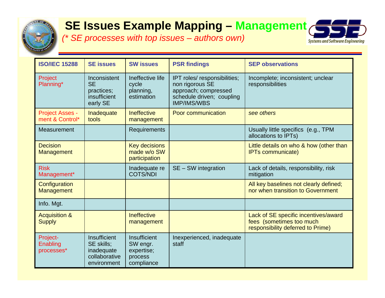

### **SE Issues Example Mapping – Management**

*(\* SE processes with top issues – authors own)*



| <b>ISO/IEC 15288</b>                      | <b>SE issues</b>                                                         | <b>SW issues</b>                                                | <b>PSR findings</b>                                                                                                        | <b>SEP observations</b>                                                                               |
|-------------------------------------------|--------------------------------------------------------------------------|-----------------------------------------------------------------|----------------------------------------------------------------------------------------------------------------------------|-------------------------------------------------------------------------------------------------------|
| Project<br>Planning*                      | Inconsistent<br><b>SE</b><br>practices;<br>insufficient<br>early SE      | Ineffective life<br>cycle<br>planning,<br>estimation            | IPT roles/ responsibilities;<br>non rigorous SE<br>approach; compressed<br>schedule driven; coupling<br><b>IMP/IMS/WBS</b> | Incomplete; inconsistent; unclear<br>responsibilities                                                 |
| <b>Project Asses -</b><br>ment & Control* | Inadequate<br>tools                                                      | <b>Ineffective</b><br>management                                | <b>Poor communication</b>                                                                                                  | see others                                                                                            |
| Measurement                               |                                                                          | Requirements                                                    |                                                                                                                            | Usually little specifics (e.g., TPM<br>allocations to IPTs)                                           |
| <b>Decision</b><br>Management             |                                                                          | <b>Key decisions</b><br>made w/o SW<br>participation            |                                                                                                                            | Little details on who & how (other than<br><b>IPTs communicate)</b>                                   |
| <b>Risk</b><br>Management*                |                                                                          | Inadequate re<br><b>COTS/NDI</b>                                | $SE - SW$ integration                                                                                                      | Lack of details, responsibility, risk<br>mitigation                                                   |
| Configuration<br>Management               |                                                                          |                                                                 |                                                                                                                            | All key baselines not clearly defined;<br>nor when transition to Government                           |
| Info. Mgt.                                |                                                                          |                                                                 |                                                                                                                            |                                                                                                       |
| <b>Acquisition &amp;</b><br><b>Supply</b> |                                                                          | <b>Ineffective</b><br>management                                |                                                                                                                            | Lack of SE specific incentives/award<br>fees (sometimes too much<br>responsibility deferred to Prime) |
| Project-<br>Enabling<br>processes*        | Insufficient<br>SE skills;<br>inadequate<br>collaborative<br>environment | Insufficient<br>SW engr.<br>expertise;<br>process<br>compliance | Inexperienced, inadequate<br>staff                                                                                         |                                                                                                       |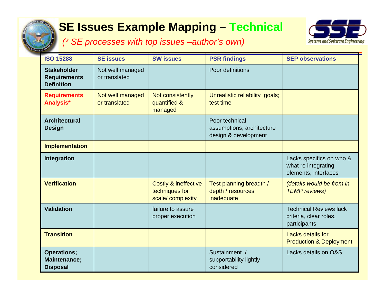

### **SE Issues Example Mapping – Technical**



*(\* SE processes with top issues –author's own)*

| <b>ISO 15288</b>                                               | <b>SE issues</b>                  | <b>SW</b> issues                                                      | <b>PSR findings</b>                                                 | <b>SEP observations</b>                                                 |
|----------------------------------------------------------------|-----------------------------------|-----------------------------------------------------------------------|---------------------------------------------------------------------|-------------------------------------------------------------------------|
| <b>Stakeholder</b><br><b>Requirements</b><br><b>Definition</b> | Not well managed<br>or translated |                                                                       | Poor definitions                                                    |                                                                         |
| <b>Requirements</b><br>Analysis*                               | Not well managed<br>or translated | Not consistently<br>quantified &<br>managed                           | Unrealistic reliability goals;<br>test time                         |                                                                         |
| <b>Architectural</b><br><b>Design</b>                          |                                   |                                                                       | Poor technical<br>assumptions; architecture<br>design & development |                                                                         |
| <b>Implementation</b>                                          |                                   |                                                                       |                                                                     |                                                                         |
| Integration                                                    |                                   |                                                                       |                                                                     | Lacks specifics on who &<br>what re integrating<br>elements, interfaces |
| <b>Verification</b>                                            |                                   | <b>Costly &amp; ineffective</b><br>techniques for<br>scale/complexity | Test planning breadth /<br>depth / resources<br>inadequate          | (details would be from in<br><b>TEMP</b> reviews)                       |
| <b>Validation</b>                                              |                                   | failure to assure<br>proper execution                                 |                                                                     | <b>Technical Reviews lack</b><br>criteria, clear roles,<br>participants |
| <b>Transition</b>                                              |                                   |                                                                       |                                                                     | <b>Lacks details for</b><br><b>Production &amp; Deployment</b>          |
| <b>Operations;</b><br><b>Maintenance;</b><br><b>Disposal</b>   |                                   |                                                                       | Sustainment /<br>supportability lightly<br>considered               | Lacks details on O&S                                                    |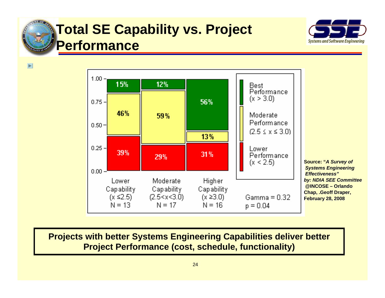

 $\overline{\blacktriangleright}$ 

## **Total SE Capability vs. Project Performance**





**Source: "A Survey of** *Systems Engineering Effectiveness"by: NDIA SEE Committee* **@INCOSE @INCOSE – Orlando Orlando Chap, .Geoff Draper, February 28, 2008**

### **Projects with better Systems Engineering Capabilities deliver better Project Performance (cost, schedule, functionality)**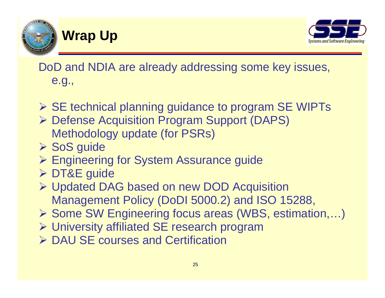

### **Wrap Up**



DoD and NDIA are already addressing some key issues, e.g.,

- ¾ SE technical planning guidance to program SE WIPTs
- ¾ Defense Acquisition Program Support (DAPS) Methodology update (for PSRs)
- ¾ SoS guide
- ¾ Engineering for System Assurance guide
- ¾ DT&E guide
- ¾ Updated DAG based on new DOD Acquisition Management Policy (DoDI 5000.2) and ISO 15288,
- ¾ Some SW Engineering focus areas (WBS, estimation,…)
- ¾ University affiliated SE research program
- **► DAU SE courses and Certification**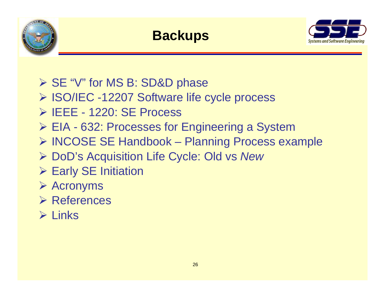



- ¾ SE "V" for MS B: SD&D phase
- ¾ ISO/IEC -12207 Software life cycle process
- ¾ IEEE 1220: SE Process
- ¾ EIA 632: Processes for Engineering a System
- ¾ INCOSE SE Handbook Planning Process example
- ¾ DoD's Acquisition Life Cycle: Old vs *New*
- **▶ Early SE Initiation**
- ¾ Acronyms
- ¾ References
- $\triangleright$  Links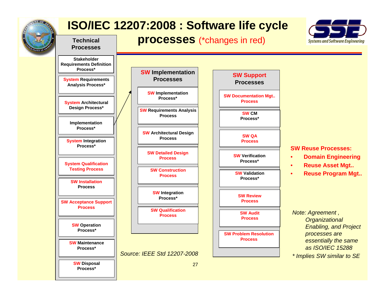

**Technical Processes**

### **ISO/IEC 12207:2008 : Software life cycle**





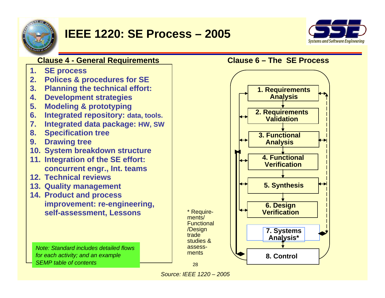

### **IEEE 1220: SE Process – 2005**







*Source: IEEE 1220 – 2005*

28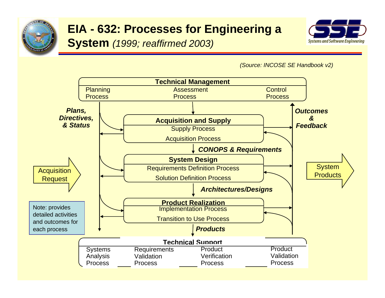

## **EIA - 632: Processes for Engineering a**

### **System** *(1999; reaffirmed 2003)*



*(Source: INCOSE SE Handbook v2)*

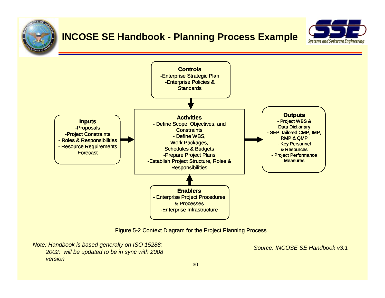

### **INCOSE SE Handbook - Planning Process Example**





Figure 5-2 Context Diagram for the Project Planning Process

 *Note: Handbook is based generally on ISO 15288: 2002; will be updated to be in sync with 2008 version*

*Source: INCOSE SE Handbook v3.1*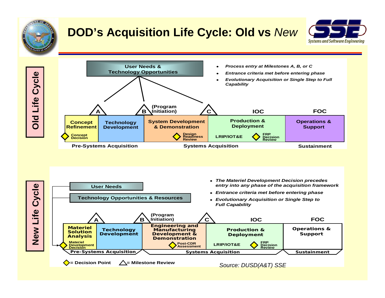

### **DOD's Acquisition Life Cycle: Old vs** *New*





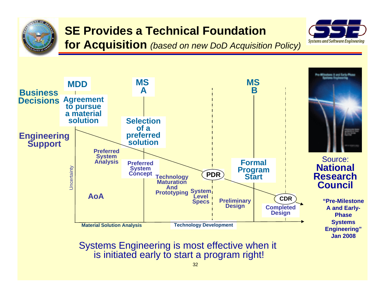

### **SE Provides a Technical Foundation**

**for Acquisition** *(based on new DoD Acquisition Policy)*





Systems Engineering is most effective when it is initiated early to start a program right!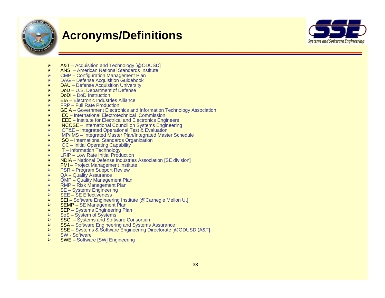

### **Acronyms/Definitions**



- ¾A&T – Acquisition and Technology [@ODUSD]
- ¾ANSI – American National Standards Institute
- ¾CMP – Configuration Management Plan
- ¾DAG – Defense Acquisition Guidebook
- ¾DAU – Defense Acquisition University
- ¾DoD – U.S. Department of Defense
- ¾DoDI – DoD Instruction
- ¾EIA – Electronic Industries Alliance
- ¾FRP – Full Rate Production
- ¾GEIA – Government Electronics and Information Technology Association
- ¾IEC – International Electrotechnical Commission
- ¾IEEE – Institute for Electrical and Electronics Engineers
- ¾INCOSE – International Council on Systems Engineering
- ¾IOT&E – Integrated Operational Test & Evaluation
- ¾IMP/IMS – Integrated Master Plan/Integrated Master Schedule
- $\blacktriangleright$ ISO – International Standards Organization
- ¾IOC – Initial Operating Capability
- $\blacktriangleright$ IT – Information Technology
- ¾LRIP – Low Rate Initial Production
- ¾NDIA – National Defense Industries Association [SE division]
- ¾PMI – Project Management Institute
- ¾PSR – Program Support Review
- ¾QA – Quality Assurance
- ¾QMP – Quality Management Plan
- ¾RMP – Risk Management Plan
- ¾SE – Systems Engineering
- ¾SEE – SE Effectiveness
- ¾SEI – Software Engineering Institute [@Carnegie Mellon U.]
- ¾SEMP – SE Management Plan
- $\blacktriangleright$ SEP – Systems Engineering Plan
- ¾SoS – System of Systems
- ¾SSCI – Systems and Software Consortium
- ¾SSA – Software Engineering and Systems Assurance
- ¾SSE – Systems & Software Engineering Directorate [@ODUSD (A&T]
- ¾SW - Software
- ¾SWE – Software [SW] Engineering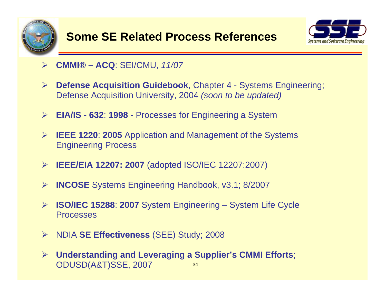



- ¾ **CMMI® – ACQ**: SEI/CMU, *11/07*
- $\blacktriangleright$  **Defense Acquisition Guidebook**, Chapter 4 - Systems Engineering; Defense Acquisition University, 2004 *(soon to be updated)*
- ¾ **EIA/IS - 632**: **1998** Processes for Engineering a System
- ¾ **IEEE 1220**: **2005** Application and Management of the Systems Engineering Process
- ¾ **IEEE/EIA 12207: 2007** (adopted ISO/IEC 12207:2007)
- $\blacktriangleright$ **INCOSE** Systems Engineering Handbook, v3.1; 8/2007
- ¾ **ISO/IEC 15288**: **2007** System Engineering System Life Cycle Processes
- ¾ NDIA **SE Effectiveness** (SEE) Study; 2008
- 34¾ **Understanding and Leveraging a Supplier's CMMI Efforts**; ODUSD(A&T)SSE, 2007